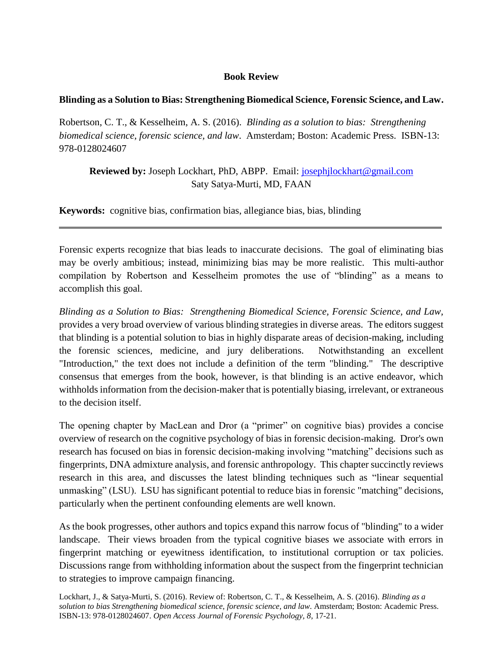## **Book Review**

## **Blinding as a Solution to Bias: Strengthening Biomedical Science, Forensic Science, and Law.**

Robertson, C. T., & Kesselheim, A. S. (2016). *Blinding as a solution to bias: Strengthening biomedical science, forensic science, and law*. Amsterdam; Boston: Academic Press. ISBN-13: 978-0128024607

**Reviewed by:** Joseph Lockhart, PhD, ABPP. Email: [josephjlockhart@gmail.com](mailto:josephjlockhart@gmail.com) Saty Satya-Murti, MD, FAAN

**Keywords:** cognitive bias, confirmation bias, allegiance bias, bias, blinding

Forensic experts recognize that bias leads to inaccurate decisions. The goal of eliminating bias may be overly ambitious; instead, minimizing bias may be more realistic. This multi-author compilation by Robertson and Kesselheim promotes the use of "blinding" as a means to accomplish this goal.

*Blinding as a Solution to Bias: Strengthening Biomedical Science, Forensic Science, and Law,* provides a very broad overview of various blinding strategies in diverse areas. The editors suggest that blinding is a potential solution to bias in highly disparate areas of decision-making, including the forensic sciences, medicine, and jury deliberations. Notwithstanding an excellent "Introduction," the text does not include a definition of the term "blinding." The descriptive consensus that emerges from the book, however, is that blinding is an active endeavor, which withholds information from the decision-maker that is potentially biasing, irrelevant, or extraneous to the decision itself.

The opening chapter by MacLean and Dror (a "primer" on cognitive bias) provides a concise overview of research on the cognitive psychology of bias in forensic decision-making. Dror's own research has focused on bias in forensic decision-making involving "matching" decisions such as fingerprints, DNA admixture analysis, and forensic anthropology. This chapter succinctly reviews research in this area, and discusses the latest blinding techniques such as "linear sequential unmasking" (LSU). LSU has significant potential to reduce bias in forensic "matching" decisions, particularly when the pertinent confounding elements are well known.

As the book progresses, other authors and topics expand this narrow focus of "blinding" to a wider landscape. Their views broaden from the typical cognitive biases we associate with errors in fingerprint matching or eyewitness identification, to institutional corruption or tax policies. Discussions range from withholding information about the suspect from the fingerprint technician to strategies to improve campaign financing.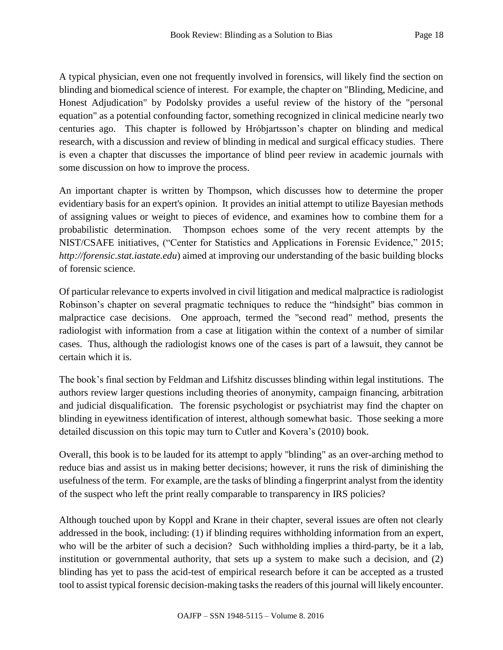A typical physician, even one not frequently involved in forensics, will likely find the section on blinding and biomedical science of interest. For example, the chapter on "Blinding, Medicine, and Honest Adjudication" by Podolsky provides a useful review of the history of the "personal equation" as a potential confounding factor, something recognized in clinical medicine nearly two centuries ago. This chapter is followed by Hróbjartsson's chapter on blinding and medical research, with a discussion and review of blinding in medical and surgical efficacy studies. There is even a chapter that discusses the importance of blind peer review in academic journals with some discussion on how to improve the process.

An important chapter is written by Thompson, which discusses how to determine the proper evidentiary basis for an expert's opinion. It provides an initial attempt to utilize Bayesian methods of assigning values or weight to pieces of evidence, and examines how to combine them for a probabilistic determination. Thompson echoes some of the very recent attempts by the NIST/CSAFE initiatives, ("Center for Statistics and Applications in Forensic Evidence," 2015; *http://forensic.stat.iastate.edu*) aimed at improving our understanding of the basic building blocks of forensic science.

Of particular relevance to experts involved in civil litigation and medical malpractice is radiologist Robinson's chapter on several pragmatic techniques to reduce the "hindsight" bias common in malpractice case decisions. One approach, termed the "second read" method, presents the radiologist with information from a case at litigation within the context of a number of similar cases. Thus, although the radiologist knows one of the cases is part of a lawsuit, they cannot be certain which it is.

The book's final section by Feldman and Lifshitz discusses blinding within legal institutions. The authors review larger questions including theories of anonymity, campaign financing, arbitration and judicial disqualification. The forensic psychologist or psychiatrist may find the chapter on blinding in eyewitness identification of interest, although somewhat basic. Those seeking a more detailed discussion on this topic may turn to Cutler and Kovera's (2010) book.

Overall, this book is to be lauded for its attempt to apply "blinding" as an over-arching method to reduce bias and assist us in making better decisions; however, it runs the risk of diminishing the usefulness of the term. For example, are the tasks of blinding a fingerprint analyst from the identity of the suspect who left the print really comparable to transparency in IRS policies?

Although touched upon by Koppl and Krane in their chapter, several issues are often not clearly addressed in the book, including: (1) if blinding requires withholding information from an expert, who will be the arbiter of such a decision? Such withholding implies a third-party, be it a lab, institution or governmental authority, that sets up a system to make such a decision, and (2) blinding has yet to pass the acid-test of empirical research before it can be accepted as a trusted tool to assist typical forensic decision-making tasks the readers of this journal will likely encounter.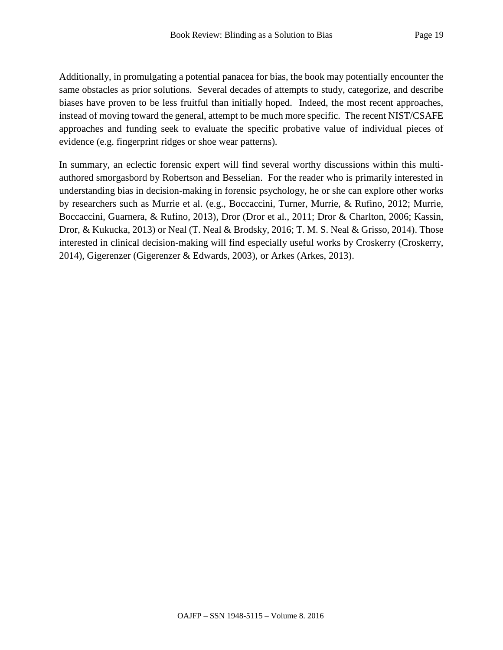Additionally, in promulgating a potential panacea for bias, the book may potentially encounter the same obstacles as prior solutions. Several decades of attempts to study, categorize, and describe biases have proven to be less fruitful than initially hoped. Indeed, the most recent approaches, instead of moving toward the general, attempt to be much more specific. The recent NIST/CSAFE approaches and funding seek to evaluate the specific probative value of individual pieces of evidence (e.g. fingerprint ridges or shoe wear patterns).

In summary, an eclectic forensic expert will find several worthy discussions within this multiauthored smorgasbord by Robertson and Besselian. For the reader who is primarily interested in understanding bias in decision-making in forensic psychology, he or she can explore other works by researchers such as Murrie et al. (e.g., Boccaccini, Turner, Murrie, & Rufino, 2012; Murrie, Boccaccini, Guarnera, & Rufino, 2013), Dror (Dror et al., 2011; Dror & Charlton, 2006; Kassin, Dror, & Kukucka, 2013) or Neal (T. Neal & Brodsky, 2016; T. M. S. Neal & Grisso, 2014). Those interested in clinical decision-making will find especially useful works by Croskerry (Croskerry, 2014), Gigerenzer (Gigerenzer & Edwards, 2003), or Arkes (Arkes, 2013).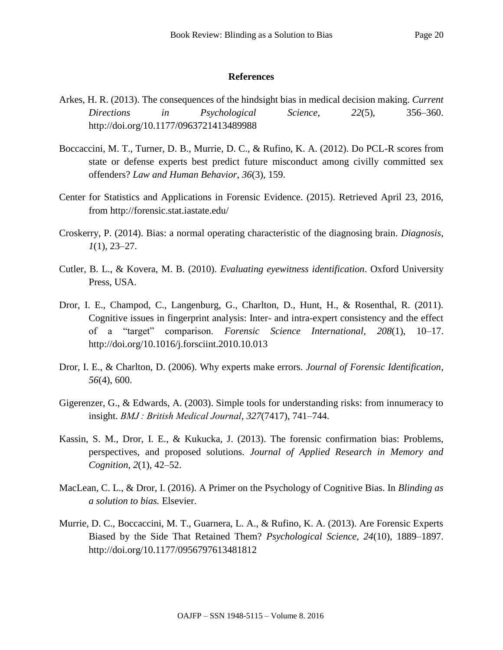## **References**

- Arkes, H. R. (2013). The consequences of the hindsight bias in medical decision making. *Current Directions in Psychological Science*, *22*(5), 356–360. http://doi.org/10.1177/0963721413489988
- Boccaccini, M. T., Turner, D. B., Murrie, D. C., & Rufino, K. A. (2012). Do PCL-R scores from state or defense experts best predict future misconduct among civilly committed sex offenders? *Law and Human Behavior*, *36*(3), 159.
- Center for Statistics and Applications in Forensic Evidence. (2015). Retrieved April 23, 2016, from http://forensic.stat.iastate.edu/
- Croskerry, P. (2014). Bias: a normal operating characteristic of the diagnosing brain. *Diagnosis*, *1*(1), 23–27.
- Cutler, B. L., & Kovera, M. B. (2010). *Evaluating eyewitness identification*. Oxford University Press, USA.
- Dror, I. E., Champod, C., Langenburg, G., Charlton, D., Hunt, H., & Rosenthal, R. (2011). Cognitive issues in fingerprint analysis: Inter- and intra-expert consistency and the effect of a "target" comparison. *Forensic Science International*, *208*(1), 10–17. http://doi.org/10.1016/j.forsciint.2010.10.013
- Dror, I. E., & Charlton, D. (2006). Why experts make errors. *Journal of Forensic Identification*, *56*(4), 600.
- Gigerenzer, G., & Edwards, A. (2003). Simple tools for understanding risks: from innumeracy to insight. *BMJ : British Medical Journal*, *327*(7417), 741–744.
- Kassin, S. M., Dror, I. E., & Kukucka, J. (2013). The forensic confirmation bias: Problems, perspectives, and proposed solutions. *Journal of Applied Research in Memory and Cognition*, *2*(1), 42–52.
- MacLean, C. L., & Dror, I. (2016). A Primer on the Psychology of Cognitive Bias. In *Blinding as a solution to bias.* Elsevier.
- Murrie, D. C., Boccaccini, M. T., Guarnera, L. A., & Rufino, K. A. (2013). Are Forensic Experts Biased by the Side That Retained Them? *Psychological Science*, *24*(10), 1889–1897. http://doi.org/10.1177/0956797613481812